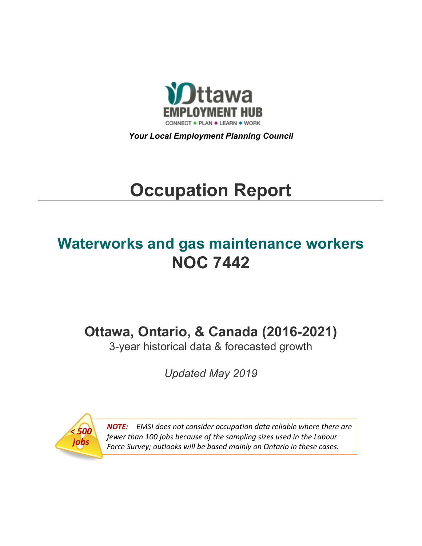

*Your Local Employment Planning Council*

# **Occupation Report**

# **Waterworks and gas maintenance workers NOC 7442**

**Ottawa, Ontario, & Canada (2016-2021)**

3-year historical data & forecasted growth

*Updated May 2019*



*NOTE: EMSI does not consider occupation data reliable where there are fewer than 100 jobs because of the sampling sizes used in the Labour Force Survey; outlooks will be based mainly on Ontario in these cases.*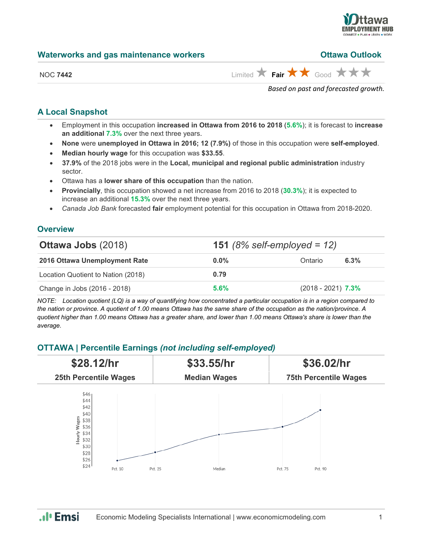

|  | <b>Waterworks and gas maintenance workers</b> |  |
|--|-----------------------------------------------|--|
|--|-----------------------------------------------|--|

#### **Ottawa Outlook**

| <b>NOC 7442</b> |
|-----------------|
|                 |

 $\lim_{x\to 0}$  **Fair**  $\star\star\star$  Good  $\star\star\star\star$ 

*Based on past and forecasted growth.*

### **A Local Snapshot**

- Employment in this occupation **increased in Ottawa from 2016 to 2018** (**5.6%**); it is forecast to **increase an additional 7.3%** over the next three years.
- **None** were **unemployed in Ottawa in 2016; 12 (7.9%)** of those in this occupation were **self-employed**.
- **Median hourly wage** for this occupation was **\$33.55**.
- **37.9%** of the 2018 jobs were in the **Local, municipal and regional public administration** industry sector.
- Ottawa has a **lower share of this occupation** than the nation.
- **Provincially**, this occupation showed a net increase from 2016 to 2018 (**30.3%**); it is expected to increase an additional **15.3%** over the next three years.
- *Canada Job Bank* forecasted **fair** employment potential for this occupation in Ottawa from 2018-2020.

### **Overview**

| <b>Ottawa Jobs (2018)</b>          |         | <b>151</b> (8% self-employed = 12) |  |  |  |
|------------------------------------|---------|------------------------------------|--|--|--|
| 2016 Ottawa Unemployment Rate      | $0.0\%$ | 6.3%<br>Ontario                    |  |  |  |
| Location Quotient to Nation (2018) | 0.79    |                                    |  |  |  |
| Change in Jobs (2016 - 2018)       | 5.6%    | $(2018 - 2021)$ 7.3%               |  |  |  |

*NOTE: Location quotient (LQ) is a way of quantifying how concentrated a particular occupation is in a region compared to the nation or province. A quotient of 1.00 means Ottawa has the same share of the occupation as the nation/province. A quotient higher than 1.00 means Ottawa has a greater share, and lower than 1.00 means Ottawa's share is lower than the average.*

# **OTTAWA | Percentile Earnings** *(not including self-employed)*



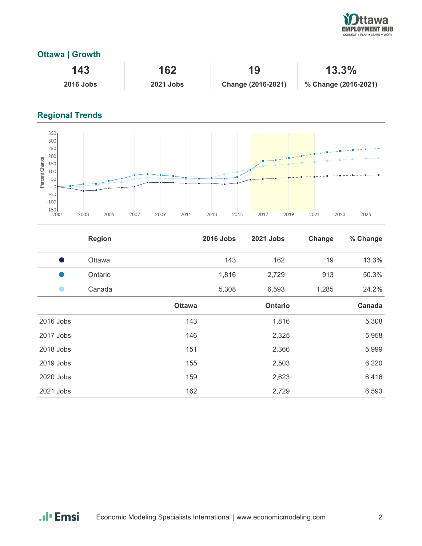

# **Ottawa | Growth**

| 143              | 162              | 19                 | 13.3%                |
|------------------|------------------|--------------------|----------------------|
| <b>2016 Jobs</b> | <b>2021 Jobs</b> | Change (2016-2021) | % Change (2016-2021) |

# **Regional Trends**



|           | <b>Region</b> |               | <b>2016 Jobs</b> | <b>2021 Jobs</b> | Change | % Change |
|-----------|---------------|---------------|------------------|------------------|--------|----------|
| s,        | Ottawa        |               | 143              | 162              | 19     | 13.3%    |
|           | Ontario       |               | 1,816            | 2,729            | 913    | 50.3%    |
|           | Canada        |               | 5,308            | 6,593            | 1,285  | 24.2%    |
|           |               | <b>Ottawa</b> |                  | <b>Ontario</b>   |        | Canada   |
| 2016 Jobs |               | 143           |                  | 1,816            |        | 5,308    |
| 2017 Jobs |               | 146           |                  | 2,325            |        | 5,958    |
| 2018 Jobs |               | 151           |                  | 2,366            |        | 5,999    |
| 2019 Jobs |               | 155           |                  | 2,503            |        | 6,220    |
| 2020 Jobs |               | 159           |                  | 2,623            |        | 6,416    |
| 2021 Jobs |               | 162           |                  | 2,729            |        | 6,593    |

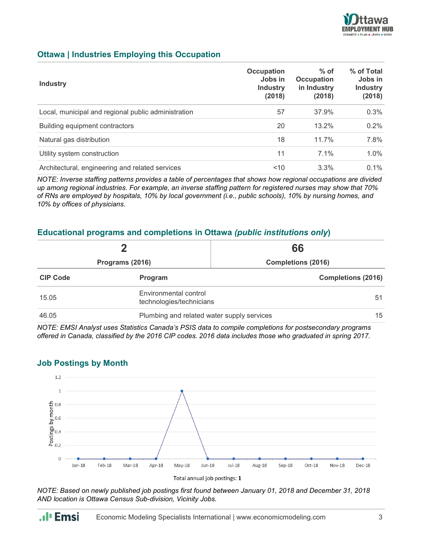

### **Ottawa | Industries Employing this Occupation**

| <b>Industry</b>                                     | <b>Occupation</b><br>Jobs in<br><b>Industry</b><br>(2018) | $%$ of<br><b>Occupation</b><br>in Industry<br>(2018) | % of Total<br>Jobs in<br><b>Industry</b><br>(2018) |
|-----------------------------------------------------|-----------------------------------------------------------|------------------------------------------------------|----------------------------------------------------|
| Local, municipal and regional public administration | 57                                                        | 37.9%                                                | 0.3%                                               |
| Building equipment contractors                      | 20                                                        | 13.2%                                                | 0.2%                                               |
| Natural gas distribution                            | 18                                                        | 11.7%                                                | 7.8%                                               |
| Utility system construction                         | 11                                                        | $7.1\%$                                              | 1.0%                                               |
| Architectural, engineering and related services     | 10                                                        | 3.3%                                                 | $0.1\%$                                            |

*NOTE: Inverse staffing patterns provides a table of percentages that shows how regional occupations are divided up among regional industries. For example, an inverse staffing pattern for registered nurses may show that 70% of RNs are employed by hospitals, 10% by local government (i.e., public schools), 10% by nursing homes, and 10% by offices of physicians.*

#### **Educational programs and completions in Ottawa** *(public institutions only***)**

|                 | כי                                                | 66                        |  |
|-----------------|---------------------------------------------------|---------------------------|--|
| Programs (2016) |                                                   | <b>Completions (2016)</b> |  |
| <b>CIP Code</b> | Program                                           | <b>Completions (2016)</b> |  |
| 15.05           | Environmental control<br>technologies/technicians | 51                        |  |
| 46.05           | Plumbing and related water supply services        | 15                        |  |

*NOTE: EMSI Analyst uses Statistics Canada's PSIS data to compile completions for postsecondary programs offered in Canada, classified by the 2016 CIP codes. 2016 data includes those who graduated in spring 2017.*

#### **Job Postings by Month**



*NOTE: Based on newly published job postings first found between January 01, 2018 and December 31, 2018 AND location is Ottawa Census Sub-division, Vicinity Jobs.*